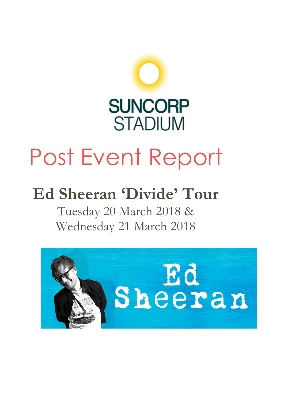

# Post Event Report

## **Ed Sheeran 'Divide' Tour**

Tuesday 20 March 2018 & Wednesday 21 March 2018

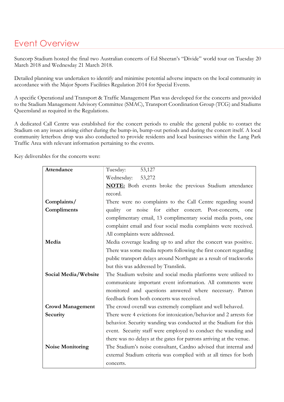## Event Overview

Suncorp Stadium hosted the final two Australian concerts of Ed Sheeran's "Divide" world tour on Tuesday 20 March 2018 and Wednesday 21 March 2018.

Detailed planning was undertaken to identify and minimise potential adverse impacts on the local community in accordance with the Major Sports Facilities Regulation 2014 for Special Events.

A specific Operational and Transport & Traffic Management Plan was developed for the concerts and provided to the Stadium Management Advisory Committee (SMAC), Transport Coordination Group (TCG) and Stadiums Queensland as required in the Regulations.

A dedicated Call Centre was established for the concert periods to enable the general public to contact the Stadium on any issues arising either during the bump-in, bump-out periods and during the concert itself. A local community letterbox drop was also conducted to provide residents and local businesses within the Lang Park Traffic Area with relevant information pertaining to the events.

Key deliverables for the concerts were:

| Attendance              | Tuesday:<br>53,127                                                  |
|-------------------------|---------------------------------------------------------------------|
|                         | Wednesday:<br>53,272                                                |
|                         | <b>NOTE:</b> Both events broke the previous Stadium attendance      |
|                         | record.                                                             |
| Complaints/             | There were no complaints to the Call Centre regarding sound         |
| Compliments             | quality or noise for either concert. Post-concerts, one             |
|                         | complimentary email, 13 complimentary social media posts, one       |
|                         | complaint email and four social media complaints were received.     |
|                         | All complaints were addressed.                                      |
| Media                   | Media coverage leading up to and after the concert was positive.    |
|                         | There was some media reports following the first concert regarding  |
|                         | public transport delays around Northgate as a result of trackworks  |
|                         | but this was addressed by Translink.                                |
| Social Media/Website    | The Stadium website and social media platforms were utilized to     |
|                         | communicate important event information. All comments were          |
|                         | monitored and questions answered where necessary. Patron            |
|                         | feedback from both concerts was received.                           |
| <b>Crowd Management</b> | The crowd overall was extremely compliant and well behaved.         |
| Security                | There were 4 evictions for intoxication/behavior and 2 arrests for  |
|                         | behavior. Security wanding was conducted at the Stadium for this    |
|                         | event. Security staff were employed to conduct the wanding and      |
|                         | there was no delays at the gates for patrons arriving at the venue. |
| <b>Noise Monitoring</b> | The Stadium's noise consultant, Cardno advised that internal and    |
|                         | external Stadium criteria was complied with at all times for both   |
|                         | concerts.                                                           |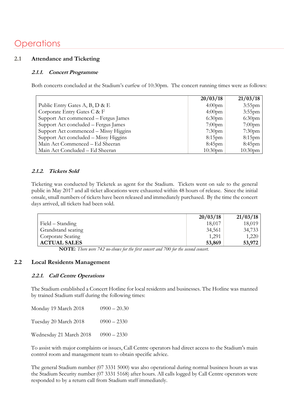## **Operations**

#### **2.1 Attendance and Ticketing**

#### **2.1.1. Concert Programme**

Both concerts concluded at the Stadium's curfew of 10:30pm. The concert running times were as follows:

|                                       | 20/03/18            | 21/03/18            |
|---------------------------------------|---------------------|---------------------|
| Public Entry Gates A, B, D & E        | $4:00$ pm           | $3:55$ pm           |
| Corporate Entry Gates C & F           | $4:00$ pm           | $3:55$ pm           |
| Support Act commenced – Fergus James  | 6:30 <sub>pm</sub>  | 6:30 <sub>pm</sub>  |
| Support Act concluded - Fergus James  | $7:00$ pm           | $7:00$ pm           |
| Support Act commenced – Missy Higgins | $7:30$ pm           | $7:30$ pm           |
| Support Act concluded – Missy Higgins | $8:15$ pm           | $8:15$ pm           |
| Main Act Commenced – Ed Sheeran       | $8:45$ pm           | $8:45$ pm           |
| Main Act Concluded - Ed Sheeran       | 10:30 <sub>pm</sub> | 10:30 <sub>pm</sub> |

#### **2.1.2. Tickets Sold**

Ticketing was conducted by Ticketek as agent for the Stadium. Tickets went on sale to the general public in May 2017 and all ticket allocations were exhausted within 48 hours of release. Since the initial onsale, small numbers of tickets have been released and immediately purchased. By the time the concert days arrived, all tickets had been sold.

|                     | 20/03/18 | 21/03/18 |
|---------------------|----------|----------|
| Field – Standing    | 18,017   | 18,019   |
| Grandstand seating  | 34,561   | 34,733   |
| Corporate Seating   | 1,291    | 1,220    |
| <b>ACTUAL SALES</b> | 53,869   | 53,972   |

 **NOTE**: *There were 742 no-shows for the first concert and 700 for the second concert.*

#### **2.2 Local Residents Management**

#### **2.2.1. Call Centre Operations**

The Stadium established a Concert Hotline for local residents and businesses. The Hotline was manned by trained Stadium staff during the following times:

| Monday 19 March 2018    | $0900 - 20.30$ |
|-------------------------|----------------|
| Tuesday 20 March 2018   | $0900 - 2330$  |
| Wednesday 21 March 2018 | $0900 - 2330$  |

To assist with major complaints or issues, Call Centre operators had direct access to the Stadium's main control room and management team to obtain specific advice.

The general Stadium number (07 3331 5000) was also operational during normal business hours as was the Stadium Security number (07 3331 5168) after hours. All calls logged by Call Centre operators were responded to by a return call from Stadium staff immediately.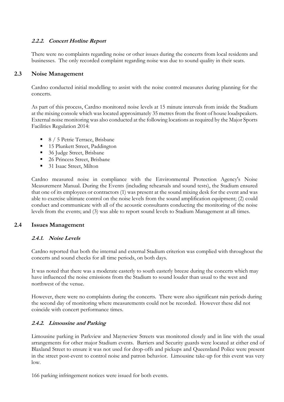#### **2.2.2. Concert Hotline Report**

There were no complaints regarding noise or other issues during the concerts from local residents and businesses. The only recorded complaint regarding noise was due to sound quality in their seats.

#### **2.3 Noise Management**

Cardno conducted initial modelling to assist with the noise control measures during planning for the concerts.

As part of this process, Cardno monitored noise levels at 15 minute intervals from inside the Stadium at the mixing console which was located approximately 35 metres from the front of house loudspeakers. External noise monitoring was also conducted at the following locations as required by the Major Sports Facilities Regulation 2014:

- 8 / 5 Petrie Terrace, Brisbane
- 15 Plunkett Street, Paddington
- 36 Judge Street, Brisbane
- 26 Princess Street, Brisbane
- 31 Isaac Street, Milton

Cardno measured noise in compliance with the Environmental Protection Agency's Noise Measurement Manual. During the Events (including rehearsals and sound tests), the Stadium ensured that one of its employees or contractors (1) was present at the sound mixing desk for the event and was able to exercise ultimate control on the noise levels from the sound amplification equipment; (2) could conduct and communicate with all of the acoustic consultants conducting the monitoring of the noise levels from the events; and (3) was able to report sound levels to Stadium Management at all times.

#### **2.4 Issues Management**

#### **2.4.1. Noise Levels**

Cardno reported that both the internal and external Stadium criterion was complied with throughout the concerts and sound checks for all time periods, on both days.

It was noted that there was a moderate easterly to south easterly breeze during the concerts which may have influenced the noise emissions from the Stadium to sound louder than usual to the west and northwest of the venue.

However, there were no complaints during the concerts. There were also significant rain periods during the second day of monitoring where measurements could not be recorded. However these did not coincide with concert performance times.

#### **2.4.2. Limousine and Parking**

Limousine parking in Parkview and Mayneview Streets was monitored closely and in line with the usual arrangements for other major Stadium events. Barriers and Security guards were located at either end of Blaxland Street to ensure it was not used for drop-offs and pickups and Queensland Police were present in the street post-event to control noise and patron behavior. Limousine take-up for this event was very low.

166 parking infringement notices were issued for both events.